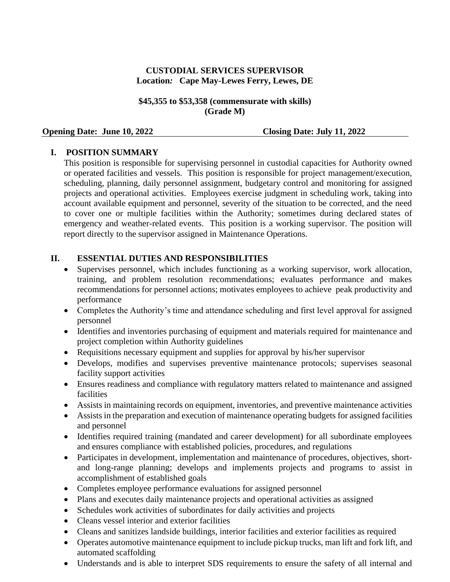## **CUSTODIAL SERVICES SUPERVISOR Location***:* **Cape May-Lewes Ferry, Lewes, DE**

#### **\$45,355 to \$53,358 (commensurate with skills) (Grade M)**

#### **Opening Date: June 10, 2022 Closing Date: July 11, 2022**

### **I. POSITION SUMMARY**

This position is responsible for supervising personnel in custodial capacities for Authority owned or operated facilities and vessels. This position is responsible for project management/execution, scheduling, planning, daily personnel assignment, budgetary control and monitoring for assigned projects and operational activities. Employees exercise judgment in scheduling work, taking into account available equipment and personnel, severity of the situation to be corrected, and the need to cover one or multiple facilities within the Authority; sometimes during declared states of emergency and weather-related events. This position is a working supervisor. The position will report directly to the supervisor assigned in Maintenance Operations.

### **II. ESSENTIAL DUTIES AND RESPONSIBILITIES**

- Supervises personnel, which includes functioning as a working supervisor, work allocation, training, and problem resolution recommendations; evaluates performance and makes recommendations for personnel actions; motivates employees to achieve peak productivity and performance
- Completes the Authority's time and attendance scheduling and first level approval for assigned personnel
- Identifies and inventories purchasing of equipment and materials required for maintenance and project completion within Authority guidelines
- Requisitions necessary equipment and supplies for approval by his/her supervisor
- Develops, modifies and supervises preventive maintenance protocols; supervises seasonal facility support activities
- Ensures readiness and compliance with regulatory matters related to maintenance and assigned facilities
- Assists in maintaining records on equipment, inventories, and preventive maintenance activities
- Assists in the preparation and execution of maintenance operating budgets for assigned facilities and personnel
- Identifies required training (mandated and career development) for all subordinate employees and ensures compliance with established policies, procedures, and regulations
- Participates in development, implementation and maintenance of procedures, objectives, shortand long-range planning; develops and implements projects and programs to assist in accomplishment of established goals
- Completes employee performance evaluations for assigned personnel
- Plans and executes daily maintenance projects and operational activities as assigned
- Schedules work activities of subordinates for daily activities and projects
- Cleans vessel interior and exterior facilities
- Cleans and sanitizes landside buildings, interior facilities and exterior facilities as required
- Operates automotive maintenance equipment to include pickup trucks, man lift and fork lift, and automated scaffolding
- Understands and is able to interpret SDS requirements to ensure the safety of all internal and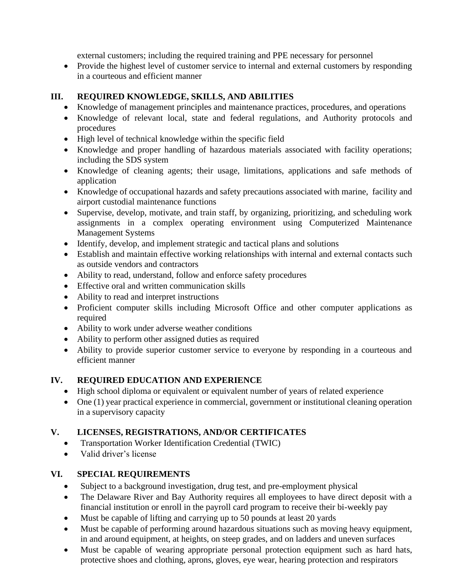external customers; including the required training and PPE necessary for personnel

• Provide the highest level of customer service to internal and external customers by responding in a courteous and efficient manner

## **III. REQUIRED KNOWLEDGE, SKILLS, AND ABILITIES**

- Knowledge of management principles and maintenance practices, procedures, and operations
- Knowledge of relevant local, state and federal regulations, and Authority protocols and procedures
- High level of technical knowledge within the specific field
- Knowledge and proper handling of hazardous materials associated with facility operations; including the SDS system
- Knowledge of cleaning agents; their usage, limitations, applications and safe methods of application
- Knowledge of occupational hazards and safety precautions associated with marine, facility and airport custodial maintenance functions
- Supervise, develop, motivate, and train staff, by organizing, prioritizing, and scheduling work assignments in a complex operating environment using Computerized Maintenance Management Systems
- Identify, develop, and implement strategic and tactical plans and solutions
- Establish and maintain effective working relationships with internal and external contacts such as outside vendors and contractors
- Ability to read, understand, follow and enforce safety procedures
- Effective oral and written communication skills
- Ability to read and interpret instructions
- Proficient computer skills including Microsoft Office and other computer applications as required
- Ability to work under adverse weather conditions
- Ability to perform other assigned duties as required
- Ability to provide superior customer service to everyone by responding in a courteous and efficient manner

# **IV. REQUIRED EDUCATION AND EXPERIENCE**

- High school diploma or equivalent or equivalent number of years of related experience
- One (1) year practical experience in commercial, government or institutional cleaning operation in a supervisory capacity

# **V. LICENSES, REGISTRATIONS, AND/OR CERTIFICATES**

- Transportation Worker Identification Credential (TWIC)
- Valid driver's license

# **VI. SPECIAL REQUIREMENTS**

- Subject to a background investigation, drug test, and pre-employment physical
- The Delaware River and Bay Authority requires all employees to have direct deposit with a financial institution or enroll in the payroll card program to receive their bi-weekly pay
- Must be capable of lifting and carrying up to 50 pounds at least 20 yards
- Must be capable of performing around hazardous situations such as moving heavy equipment, in and around equipment, at heights, on steep grades, and on ladders and uneven surfaces
- Must be capable of wearing appropriate personal protection equipment such as hard hats, protective shoes and clothing, aprons, gloves, eye wear, hearing protection and respirators